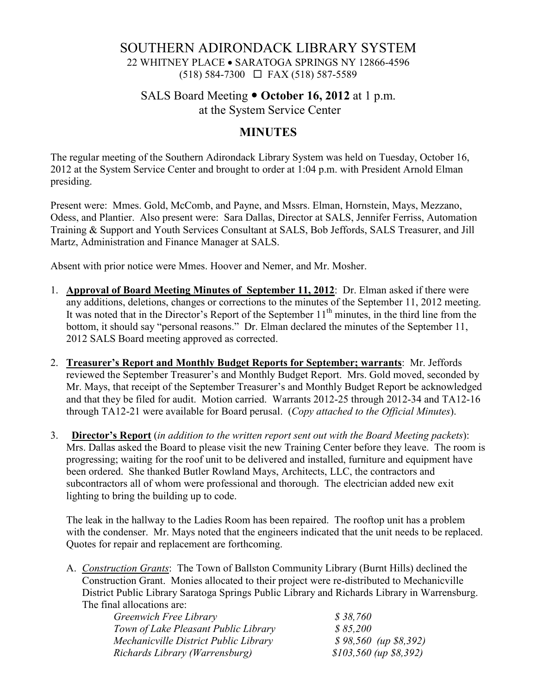# SOUTHERN ADIRONDACK LIBRARY SYSTEM 22 WHITNEY PLACE • SARATOGA SPRINGS NY 12866-4596 (518) 584-7300 FAX (518) 587-5589

### SALS Board Meeting **October 16, 2012** at 1 p.m. at the System Service Center

#### **MINUTES**

The regular meeting of the Southern Adirondack Library System was held on Tuesday, October 16, 2012 at the System Service Center and brought to order at 1:04 p.m. with President Arnold Elman presiding.

Present were: Mmes. Gold, McComb, and Payne, and Mssrs. Elman, Hornstein, Mays, Mezzano, Odess, and Plantier. Also present were: Sara Dallas, Director at SALS, Jennifer Ferriss, Automation Training & Support and Youth Services Consultant at SALS, Bob Jeffords, SALS Treasurer, and Jill Martz, Administration and Finance Manager at SALS.

Absent with prior notice were Mmes. Hoover and Nemer, and Mr. Mosher.

- 1. **Approval of Board Meeting Minutes of September 11, 2012**: Dr. Elman asked if there were any additions, deletions, changes or corrections to the minutes of the September 11, 2012 meeting. It was noted that in the Director's Report of the September  $11<sup>th</sup>$  minutes, in the third line from the bottom, it should say "personal reasons." Dr. Elman declared the minutes of the September 11, 2012 SALS Board meeting approved as corrected.
- 2. **Treasurer's Report and Monthly Budget Reports for September; warrants**: Mr. Jeffords reviewed the September Treasurer's and Monthly Budget Report. Mrs. Gold moved, seconded by Mr. Mays, that receipt of the September Treasurer's and Monthly Budget Report be acknowledged and that they be filed for audit. Motion carried. Warrants 2012-25 through 2012-34 and TA12-16 through TA12-21 were available for Board perusal. (*Copy attached to the Official Minutes*).
- 3. **Director's Report** (*in addition to the written report sent out with the Board Meeting packets*): Mrs. Dallas asked the Board to please visit the new Training Center before they leave. The room is progressing; waiting for the roof unit to be delivered and installed, furniture and equipment have been ordered. She thanked Butler Rowland Mays, Architects, LLC, the contractors and subcontractors all of whom were professional and thorough. The electrician added new exit lighting to bring the building up to code.

The leak in the hallway to the Ladies Room has been repaired. The rooftop unit has a problem with the condenser. Mr. Mays noted that the engineers indicated that the unit needs to be replaced. Quotes for repair and replacement are forthcoming.

A. *Construction Grants*: The Town of Ballston Community Library (Burnt Hills) declined the Construction Grant. Monies allocated to their project were re-distributed to Mechanicville District Public Library Saratoga Springs Public Library and Richards Library in Warrensburg. The final allocations are:

| Greenwich Free Library                | \$38,760                   |
|---------------------------------------|----------------------------|
| Town of Lake Pleasant Public Library  | \$85,200                   |
| Mechanicville District Public Library | $$98,560$ (up $$8,392$ )   |
| Richards Library (Warrensburg)        | $$103,560$ (up $$8,392)$ ) |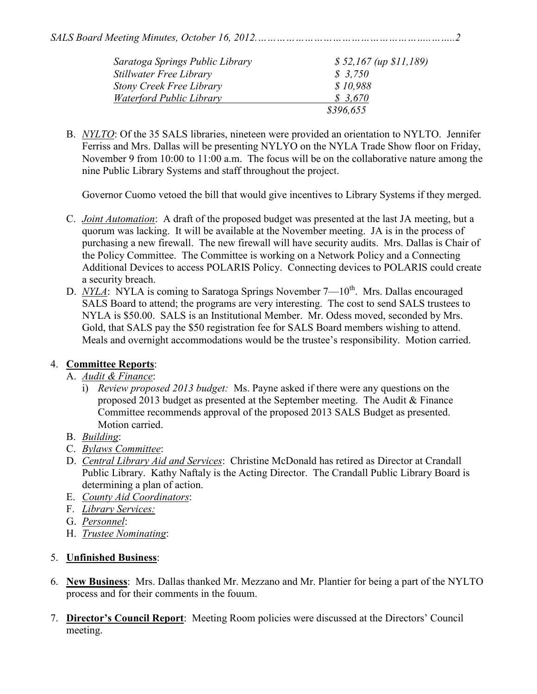| Saratoga Springs Public Library | $$52,167$ (up $$11,189$ ) |
|---------------------------------|---------------------------|
| <b>Stillwater Free Library</b>  | \$3,750                   |
| <b>Stony Creek Free Library</b> | \$10.988                  |
| Waterford Public Library        | \$3.670                   |
|                                 | \$396,655                 |

B. *NYLTO*: Of the 35 SALS libraries, nineteen were provided an orientation to NYLTO. Jennifer Ferriss and Mrs. Dallas will be presenting NYLYO on the NYLA Trade Show floor on Friday, November 9 from 10:00 to 11:00 a.m. The focus will be on the collaborative nature among the nine Public Library Systems and staff throughout the project.

Governor Cuomo vetoed the bill that would give incentives to Library Systems if they merged.

- C. *Joint Automation*: A draft of the proposed budget was presented at the last JA meeting, but a quorum was lacking. It will be available at the November meeting. JA is in the process of purchasing a new firewall. The new firewall will have security audits. Mrs. Dallas is Chair of the Policy Committee. The Committee is working on a Network Policy and a Connecting Additional Devices to access POLARIS Policy. Connecting devices to POLARIS could create a security breach.
- D. *NYLA*: NYLA is coming to Saratoga Springs November 7—10<sup>th</sup>. Mrs. Dallas encouraged SALS Board to attend; the programs are very interesting. The cost to send SALS trustees to NYLA is \$50.00. SALS is an Institutional Member. Mr. Odess moved, seconded by Mrs. Gold, that SALS pay the \$50 registration fee for SALS Board members wishing to attend. Meals and overnight accommodations would be the trustee's responsibility. Motion carried.

#### 4. **Committee Reports**:

#### A. *Audit & Finance*:

- i) *Review proposed 2013 budget:* Ms. Payne asked if there were any questions on the proposed 2013 budget as presented at the September meeting. The Audit & Finance Committee recommends approval of the proposed 2013 SALS Budget as presented. Motion carried.
- B. *Building*:
- C. *Bylaws Committee*:
- D. *Central Library Aid and Services*: Christine McDonald has retired as Director at Crandall Public Library. Kathy Naftaly is the Acting Director. The Crandall Public Library Board is determining a plan of action.
- E. *County Aid Coordinators*:
- F. *Library Services:*
- G. *Personnel*:
- H. *Trustee Nominating*:

# 5. **Unfinished Business**:

- 6. **New Business**: Mrs. Dallas thanked Mr. Mezzano and Mr. Plantier for being a part of the NYLTO process and for their comments in the fouum.
- 7. **Director's Council Report**: Meeting Room policies were discussed at the Directors' Council meeting.